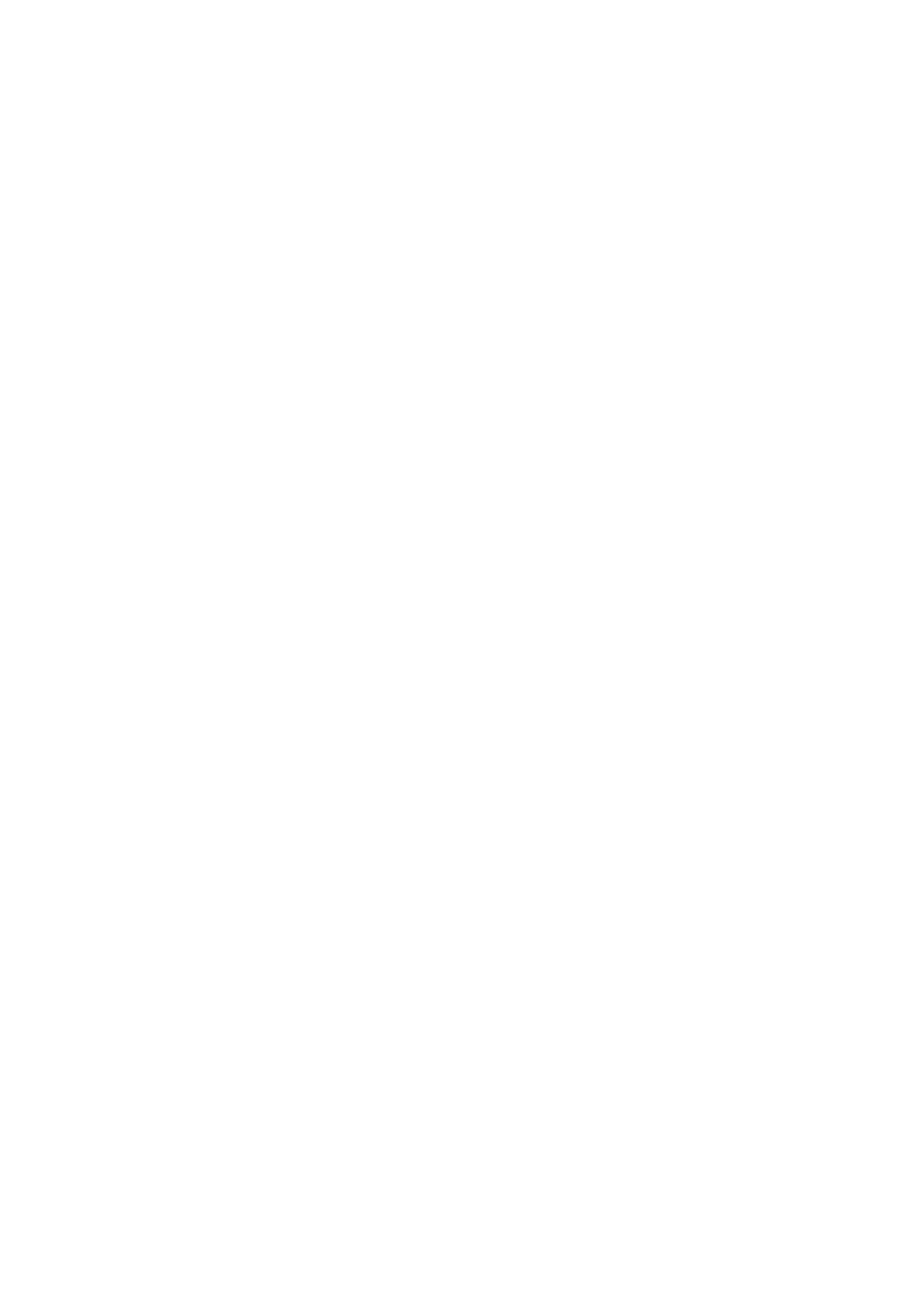









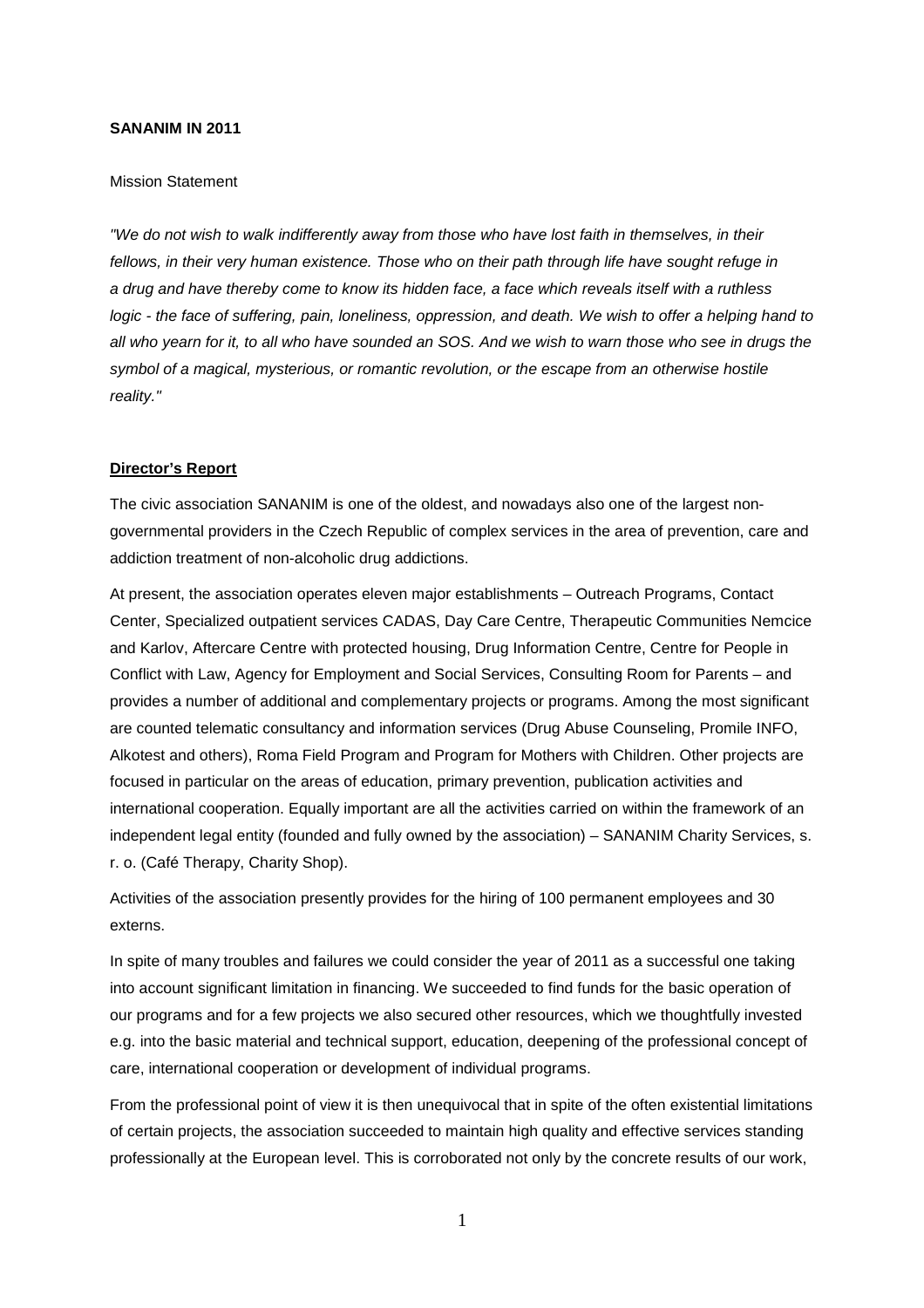#### **SANANIM IN 2011**

#### Mission Statement

"We do not wish to walk indifferently away from those who have lost faith in themselves, in their fellows, in their very human existence. Those who on their path through life have sought refuge in a drug and have thereby come to know its hidden face, a face which reveals itself with a ruthless logic - the face of suffering, pain, loneliness, oppression, and death. We wish to offer a helping hand to all who yearn for it, to all who have sounded an SOS. And we wish to warn those who see in drugs the symbol of a magical, mysterious, or romantic revolution, or the escape from an otherwise hostile reality."

#### **Director's Report**

The civic association SANANIM is one of the oldest, and nowadays also one of the largest nongovernmental providers in the Czech Republic of complex services in the area of prevention, care and addiction treatment of non-alcoholic drug addictions.

At present, the association operates eleven major establishments – Outreach Programs, Contact Center, Specialized outpatient services CADAS, Day Care Centre, Therapeutic Communities Nemcice and Karlov, Aftercare Centre with protected housing, Drug Information Centre, Centre for People in Conflict with Law, Agency for Employment and Social Services, Consulting Room for Parents – and provides a number of additional and complementary projects or programs. Among the most significant are counted telematic consultancy and information services (Drug Abuse Counseling, Promile INFO, Alkotest and others), Roma Field Program and Program for Mothers with Children. Other projects are focused in particular on the areas of education, primary prevention, publication activities and international cooperation. Equally important are all the activities carried on within the framework of an independent legal entity (founded and fully owned by the association) – SANANIM Charity Services, s. r. o. (Café Therapy, Charity Shop).

Activities of the association presently provides for the hiring of 100 permanent employees and 30 externs.

In spite of many troubles and failures we could consider the year of 2011 as a successful one taking into account significant limitation in financing. We succeeded to find funds for the basic operation of our programs and for a few projects we also secured other resources, which we thoughtfully invested e.g. into the basic material and technical support, education, deepening of the professional concept of care, international cooperation or development of individual programs.

From the professional point of view it is then unequivocal that in spite of the often existential limitations of certain projects, the association succeeded to maintain high quality and effective services standing professionally at the European level. This is corroborated not only by the concrete results of our work,

1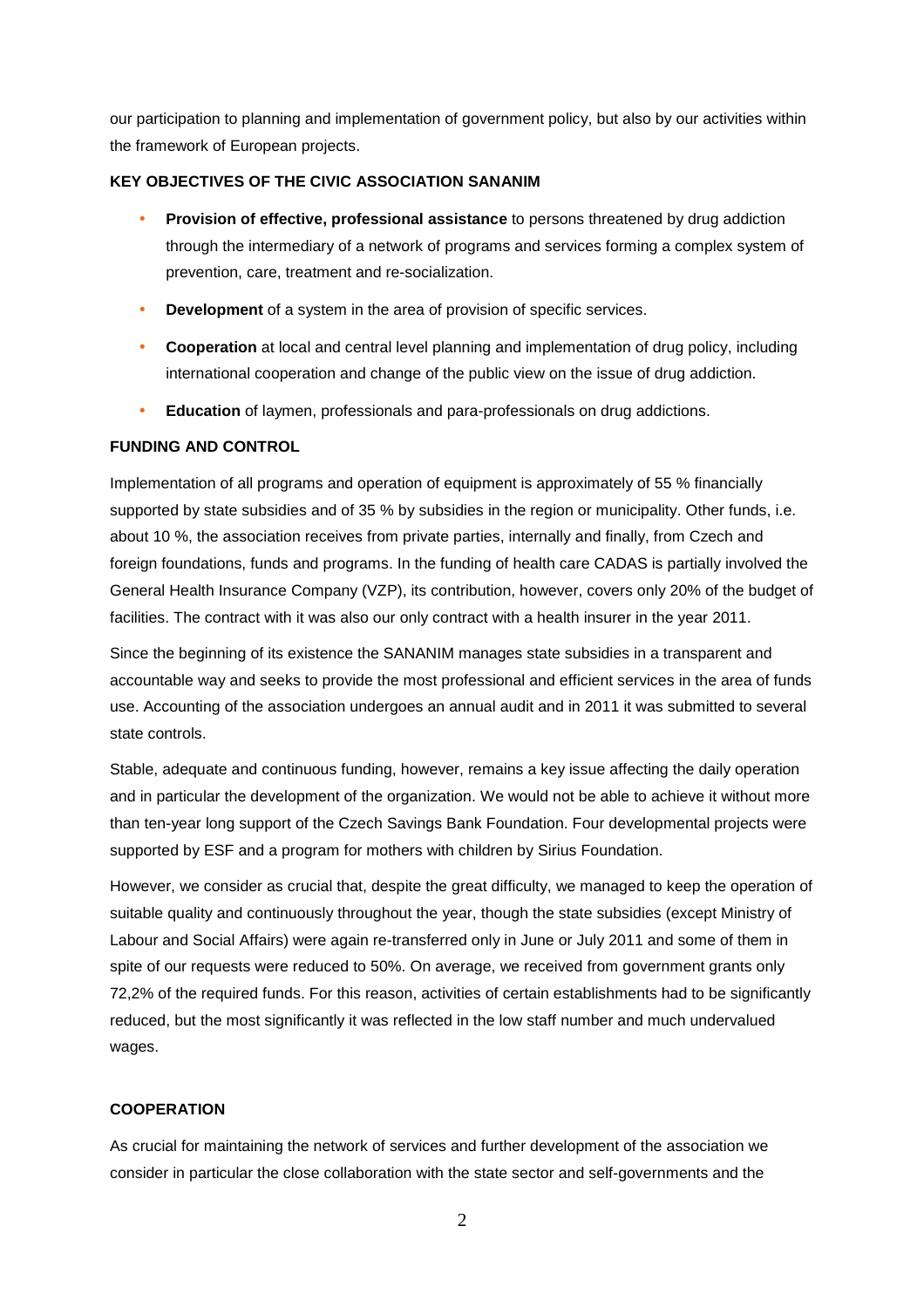our participation to planning and implementation of government policy, but also by our activities within the framework of European projects.

### **KEY OBJECTIVES OF THE CIVIC ASSOCIATION SANANIM**

- **Provision of effective, professional assistance** to persons threatened by drug addiction through the intermediary of a network of programs and services forming a complex system of prevention, care, treatment and re-socialization.
- **Development** of a system in the area of provision of specific services.
- **Cooperation** at local and central level planning and implementation of drug policy, including international cooperation and change of the public view on the issue of drug addiction.
- **Education** of laymen, professionals and para-professionals on drug addictions.

### **FUNDING AND CONTROL**

Implementation of all programs and operation of equipment is approximately of 55 % financially supported by state subsidies and of 35 % by subsidies in the region or municipality. Other funds, i.e. about 10 %, the association receives from private parties, internally and finally, from Czech and foreign foundations, funds and programs. In the funding of health care CADAS is partially involved the General Health Insurance Company (VZP), its contribution, however, covers only 20% of the budget of facilities. The contract with it was also our only contract with a health insurer in the year 2011.

Since the beginning of its existence the SANANIM manages state subsidies in a transparent and accountable way and seeks to provide the most professional and efficient services in the area of funds use. Accounting of the association undergoes an annual audit and in 2011 it was submitted to several state controls.

Stable, adequate and continuous funding, however, remains a key issue affecting the daily operation and in particular the development of the organization. We would not be able to achieve it without more than ten-year long support of the Czech Savings Bank Foundation. Four developmental projects were supported by ESF and a program for mothers with children by Sirius Foundation.

However, we consider as crucial that, despite the great difficulty, we managed to keep the operation of suitable quality and continuously throughout the year, though the state subsidies (except Ministry of Labour and Social Affairs) were again re-transferred only in June or July 2011 and some of them in spite of our requests were reduced to 50%. On average, we received from government grants only 72,2% of the required funds. For this reason, activities of certain establishments had to be significantly reduced, but the most significantly it was reflected in the low staff number and much undervalued wages.

# **COOPERATION**

As crucial for maintaining the network of services and further development of the association we consider in particular the close collaboration with the state sector and self-governments and the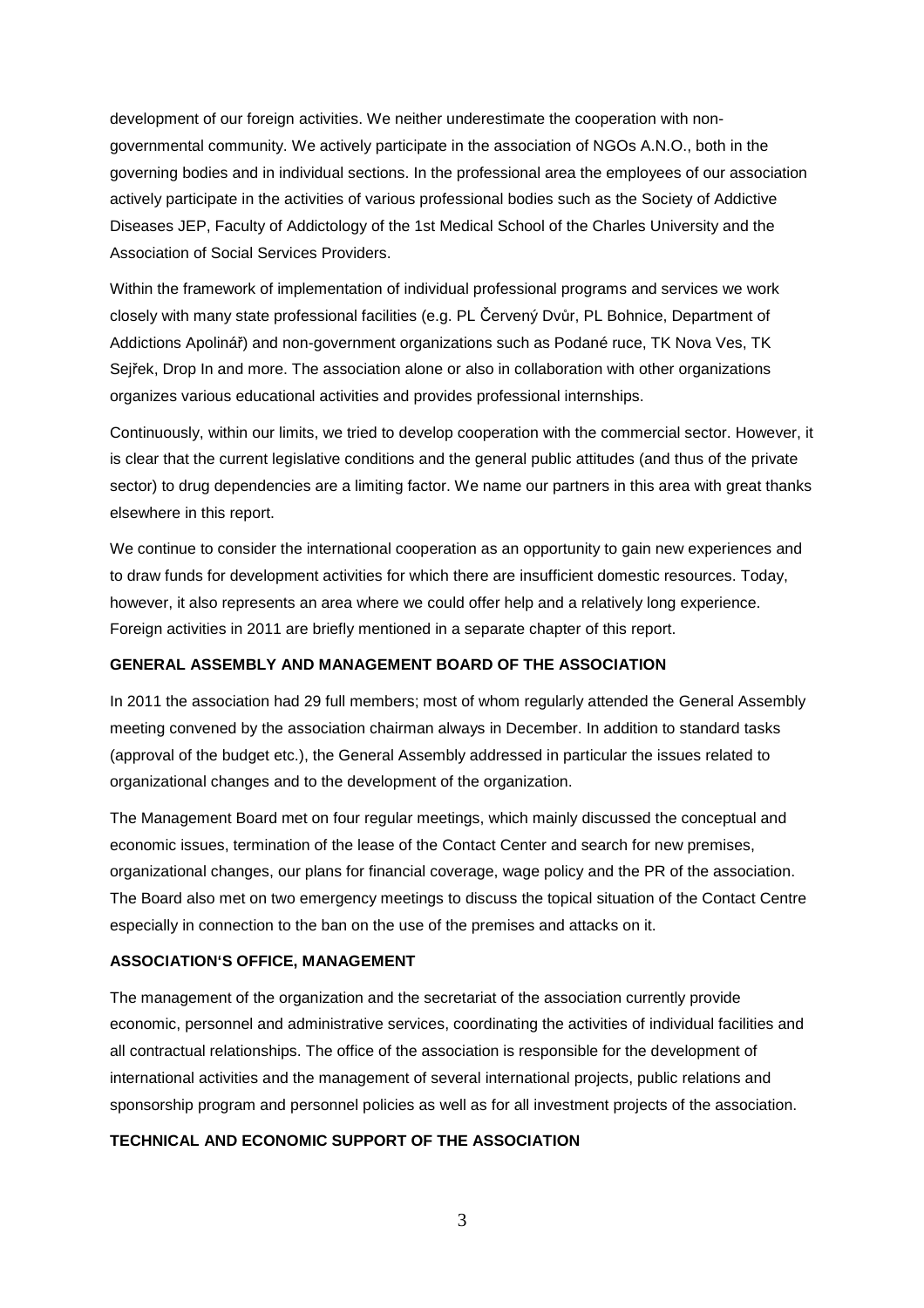development of our foreign activities. We neither underestimate the cooperation with nongovernmental community. We actively participate in the association of NGOs A.N.O., both in the governing bodies and in individual sections. In the professional area the employees of our association actively participate in the activities of various professional bodies such as the Society of Addictive Diseases JEP, Faculty of Addictology of the 1st Medical School of the Charles University and the Association of Social Services Providers.

Within the framework of implementation of individual professional programs and services we work closely with many state professional facilities (e.g. PL Červený Dvůr, PL Bohnice, Department of Addictions Apolinář) and non-government organizations such as Podané ruce, TK Nova Ves, TK Sejřek, Drop In and more. The association alone or also in collaboration with other organizations organizes various educational activities and provides professional internships.

Continuously, within our limits, we tried to develop cooperation with the commercial sector. However, it is clear that the current legislative conditions and the general public attitudes (and thus of the private sector) to drug dependencies are a limiting factor. We name our partners in this area with great thanks elsewhere in this report.

We continue to consider the international cooperation as an opportunity to gain new experiences and to draw funds for development activities for which there are insufficient domestic resources. Today, however, it also represents an area where we could offer help and a relatively long experience. Foreign activities in 2011 are briefly mentioned in a separate chapter of this report.

#### **GENERAL ASSEMBLY AND MANAGEMENT BOARD OF THE ASSOCIATION**

In 2011 the association had 29 full members; most of whom regularly attended the General Assembly meeting convened by the association chairman always in December. In addition to standard tasks (approval of the budget etc.), the General Assembly addressed in particular the issues related to organizational changes and to the development of the organization.

The Management Board met on four regular meetings, which mainly discussed the conceptual and economic issues, termination of the lease of the Contact Center and search for new premises, organizational changes, our plans for financial coverage, wage policy and the PR of the association. The Board also met on two emergency meetings to discuss the topical situation of the Contact Centre especially in connection to the ban on the use of the premises and attacks on it.

### **ASSOCIATION'S OFFICE, MANAGEMENT**

The management of the organization and the secretariat of the association currently provide economic, personnel and administrative services, coordinating the activities of individual facilities and all contractual relationships. The office of the association is responsible for the development of international activities and the management of several international projects, public relations and sponsorship program and personnel policies as well as for all investment projects of the association.

#### **TECHNICAL AND ECONOMIC SUPPORT OF THE ASSOCIATION**

3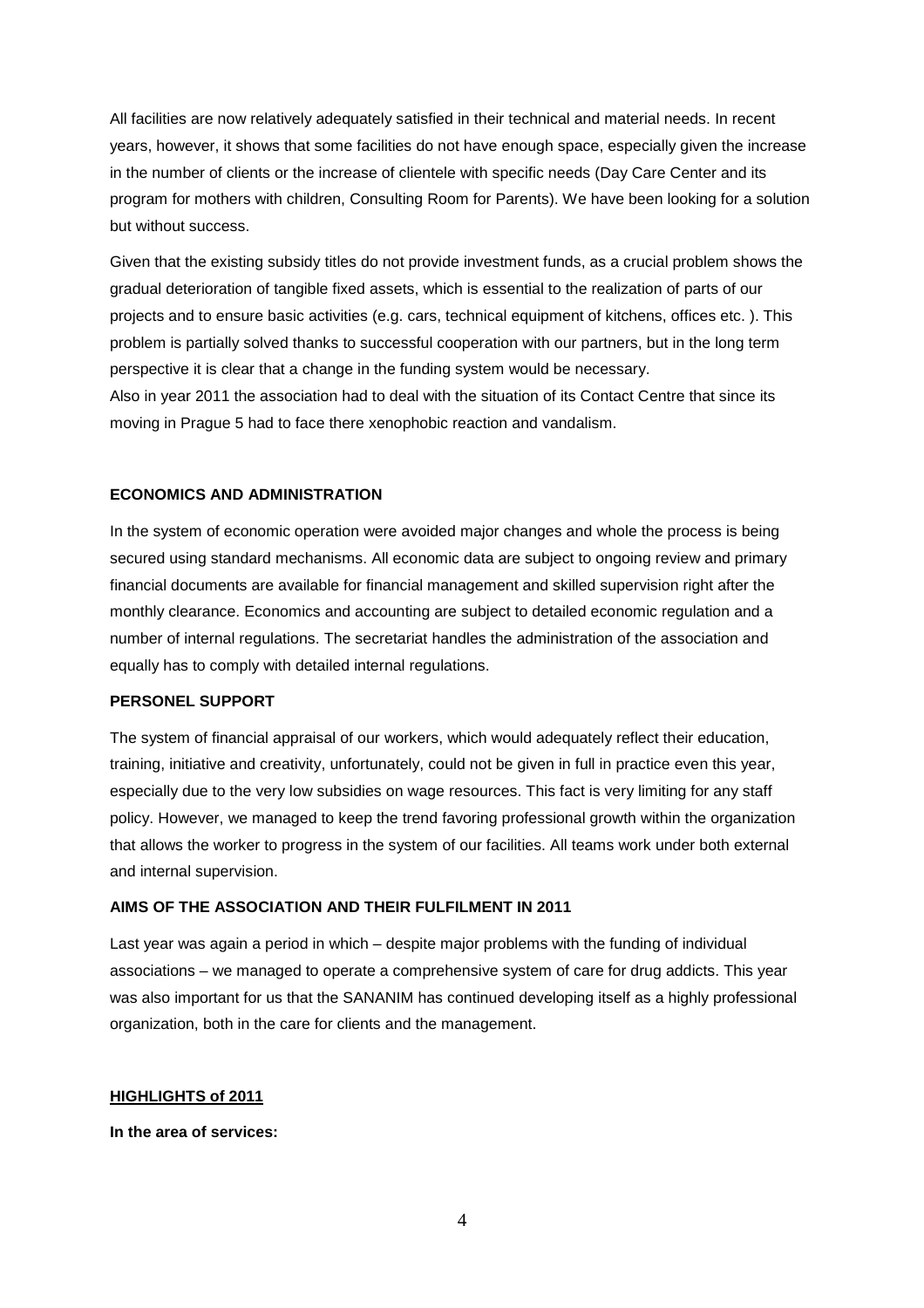All facilities are now relatively adequately satisfied in their technical and material needs. In recent years, however, it shows that some facilities do not have enough space, especially given the increase in the number of clients or the increase of clientele with specific needs (Day Care Center and its program for mothers with children, Consulting Room for Parents). We have been looking for a solution but without success.

Given that the existing subsidy titles do not provide investment funds, as a crucial problem shows the gradual deterioration of tangible fixed assets, which is essential to the realization of parts of our projects and to ensure basic activities (e.g. cars, technical equipment of kitchens, offices etc. ). This problem is partially solved thanks to successful cooperation with our partners, but in the long term perspective it is clear that a change in the funding system would be necessary.

Also in year 2011 the association had to deal with the situation of its Contact Centre that since its moving in Prague 5 had to face there xenophobic reaction and vandalism.

#### **ECONOMICS AND ADMINISTRATION**

In the system of economic operation were avoided major changes and whole the process is being secured using standard mechanisms. All economic data are subject to ongoing review and primary financial documents are available for financial management and skilled supervision right after the monthly clearance. Economics and accounting are subject to detailed economic regulation and a number of internal regulations. The secretariat handles the administration of the association and equally has to comply with detailed internal regulations.

#### **PERSONEL SUPPORT**

The system of financial appraisal of our workers, which would adequately reflect their education, training, initiative and creativity, unfortunately, could not be given in full in practice even this year, especially due to the very low subsidies on wage resources. This fact is very limiting for any staff policy. However, we managed to keep the trend favoring professional growth within the organization that allows the worker to progress in the system of our facilities. All teams work under both external and internal supervision.

#### **AIMS OF THE ASSOCIATION AND THEIR FULFILMENT IN 2011**

Last year was again a period in which – despite major problems with the funding of individual associations – we managed to operate a comprehensive system of care for drug addicts. This year was also important for us that the SANANIM has continued developing itself as a highly professional organization, both in the care for clients and the management.

#### **HIGHLIGHTS of 2011**

**In the area of services:**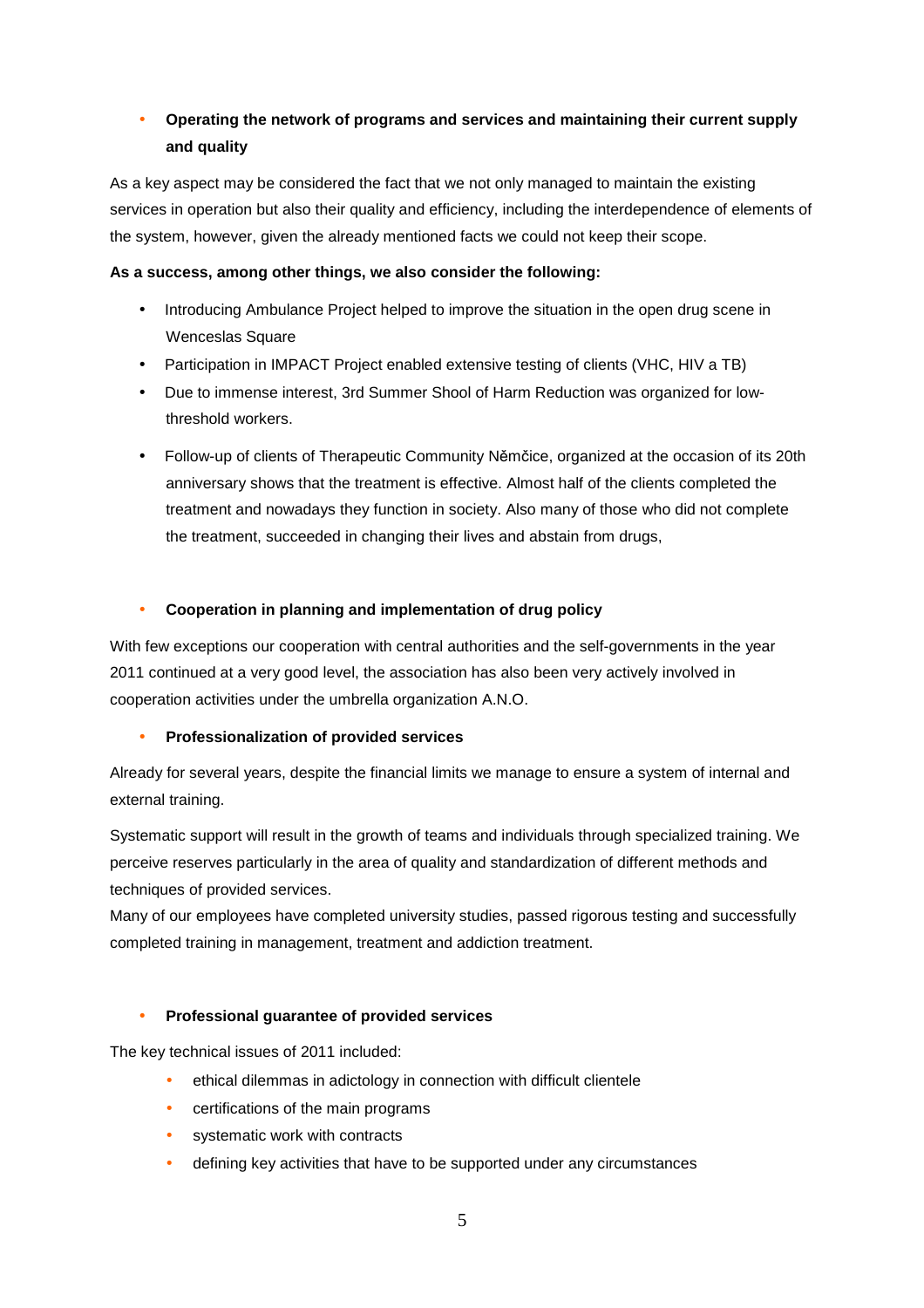# • **Operating the network of programs and services and maintaining their current supply and quality**

As a key aspect may be considered the fact that we not only managed to maintain the existing services in operation but also their quality and efficiency, including the interdependence of elements of the system, however, given the already mentioned facts we could not keep their scope.

### **As a success, among other things, we also consider the following:**

- Introducing Ambulance Project helped to improve the situation in the open drug scene in Wenceslas Square
- Participation in IMPACT Project enabled extensive testing of clients (VHC, HIV a TB)
- Due to immense interest, 3rd Summer Shool of Harm Reduction was organized for lowthreshold workers.
- Follow-up of clients of Therapeutic Community Němčice, organized at the occasion of its 20th anniversary shows that the treatment is effective. Almost half of the clients completed the treatment and nowadays they function in society. Also many of those who did not complete the treatment, succeeded in changing their lives and abstain from drugs,

# • **Cooperation in planning and implementation of drug policy**

With few exceptions our cooperation with central authorities and the self-governments in the year 2011 continued at a very good level, the association has also been very actively involved in cooperation activities under the umbrella organization A.N.O.

# • **Professionalization of provided services**

Already for several years, despite the financial limits we manage to ensure a system of internal and external training.

Systematic support will result in the growth of teams and individuals through specialized training. We perceive reserves particularly in the area of quality and standardization of different methods and techniques of provided services.

Many of our employees have completed university studies, passed rigorous testing and successfully completed training in management, treatment and addiction treatment.

# • **Professional guarantee of provided services**

The key technical issues of 2011 included:

- ethical dilemmas in adictology in connection with difficult clientele
- certifications of the main programs
- systematic work with contracts
- defining key activities that have to be supported under any circumstances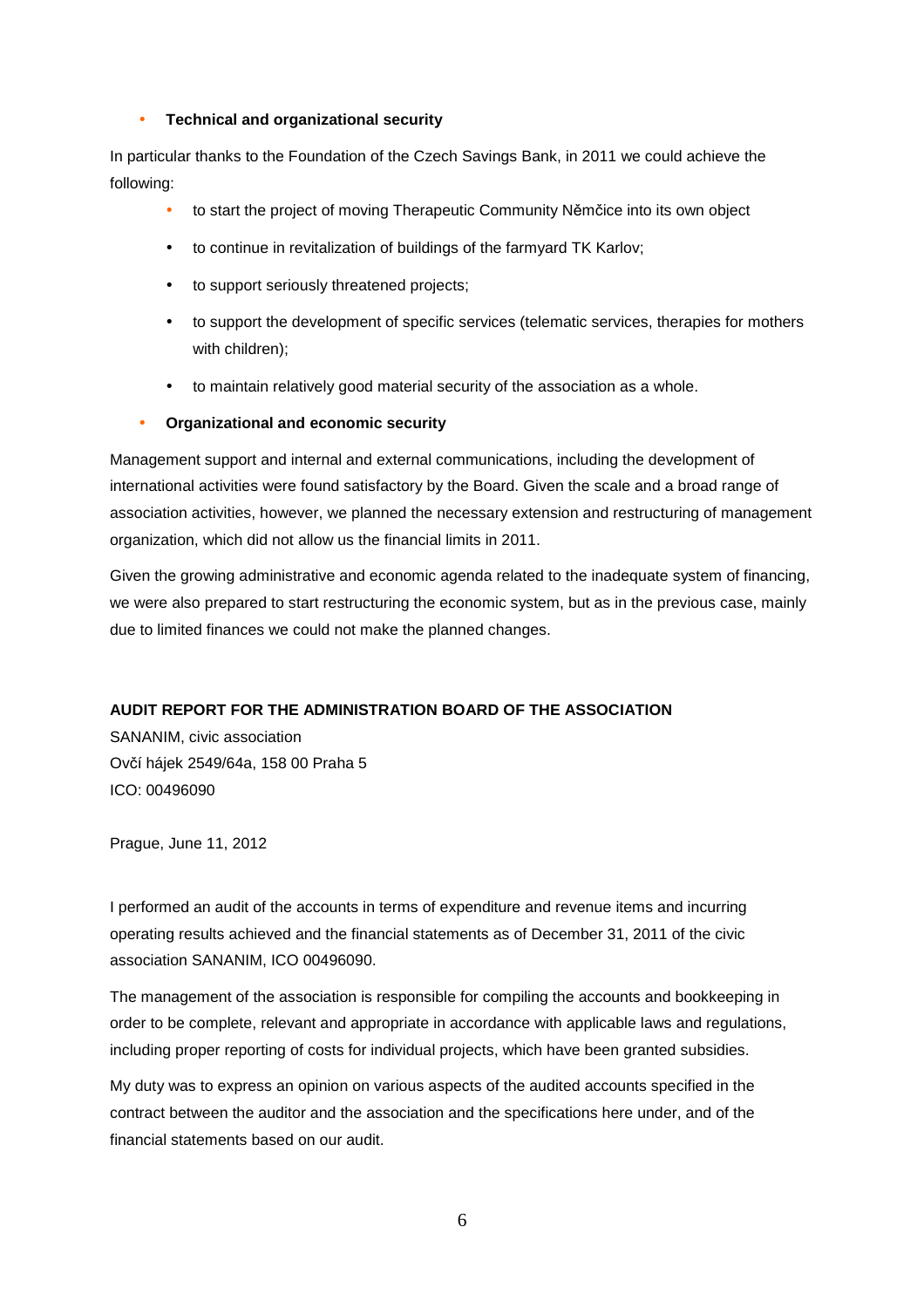### • **Technical and organizational security**

In particular thanks to the Foundation of the Czech Savings Bank, in 2011 we could achieve the following:

- to start the project of moving Therapeutic Community Němčice into its own object
- to continue in revitalization of buildings of the farmyard TK Karlov;
- to support seriously threatened projects;
- to support the development of specific services (telematic services, therapies for mothers with children);
- to maintain relatively good material security of the association as a whole.

### • **Organizational and economic security**

Management support and internal and external communications, including the development of international activities were found satisfactory by the Board. Given the scale and a broad range of association activities, however, we planned the necessary extension and restructuring of management organization, which did not allow us the financial limits in 2011.

Given the growing administrative and economic agenda related to the inadequate system of financing, we were also prepared to start restructuring the economic system, but as in the previous case, mainly due to limited finances we could not make the planned changes.

# **AUDIT REPORT FOR THE ADMINISTRATION BOARD OF THE ASSOCIATION**

SANANIM, civic association Ovčí hájek 2549/64a, 158 00 Praha 5 ICO: 00496090

Prague, June 11, 2012

I performed an audit of the accounts in terms of expenditure and revenue items and incurring operating results achieved and the financial statements as of December 31, 2011 of the civic association SANANIM, ICO 00496090.

The management of the association is responsible for compiling the accounts and bookkeeping in order to be complete, relevant and appropriate in accordance with applicable laws and regulations, including proper reporting of costs for individual projects, which have been granted subsidies.

My duty was to express an opinion on various aspects of the audited accounts specified in the contract between the auditor and the association and the specifications here under, and of the financial statements based on our audit.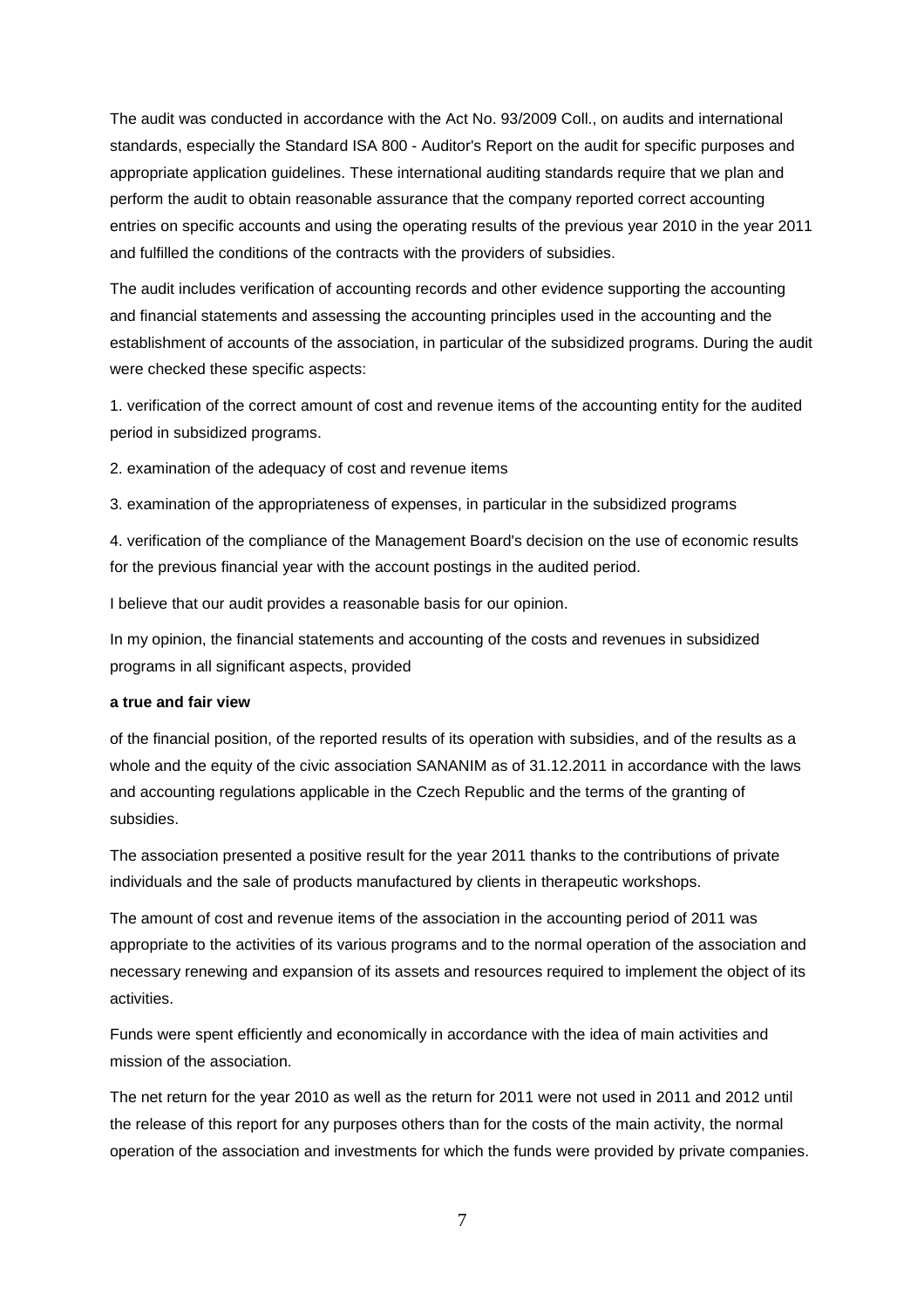The audit was conducted in accordance with the Act No. 93/2009 Coll., on audits and international standards, especially the Standard ISA 800 - Auditor's Report on the audit for specific purposes and appropriate application guidelines. These international auditing standards require that we plan and perform the audit to obtain reasonable assurance that the company reported correct accounting entries on specific accounts and using the operating results of the previous year 2010 in the year 2011 and fulfilled the conditions of the contracts with the providers of subsidies.

The audit includes verification of accounting records and other evidence supporting the accounting and financial statements and assessing the accounting principles used in the accounting and the establishment of accounts of the association, in particular of the subsidized programs. During the audit were checked these specific aspects:

1. verification of the correct amount of cost and revenue items of the accounting entity for the audited period in subsidized programs.

2. examination of the adequacy of cost and revenue items

3. examination of the appropriateness of expenses, in particular in the subsidized programs

4. verification of the compliance of the Management Board's decision on the use of economic results for the previous financial year with the account postings in the audited period.

I believe that our audit provides a reasonable basis for our opinion.

In my opinion, the financial statements and accounting of the costs and revenues in subsidized programs in all significant aspects, provided

#### **a true and fair view**

of the financial position, of the reported results of its operation with subsidies, and of the results as a whole and the equity of the civic association SANANIM as of 31.12.2011 in accordance with the laws and accounting regulations applicable in the Czech Republic and the terms of the granting of subsidies.

The association presented a positive result for the year 2011 thanks to the contributions of private individuals and the sale of products manufactured by clients in therapeutic workshops.

The amount of cost and revenue items of the association in the accounting period of 2011 was appropriate to the activities of its various programs and to the normal operation of the association and necessary renewing and expansion of its assets and resources required to implement the object of its activities.

Funds were spent efficiently and economically in accordance with the idea of main activities and mission of the association.

The net return for the year 2010 as well as the return for 2011 were not used in 2011 and 2012 until the release of this report for any purposes others than for the costs of the main activity, the normal operation of the association and investments for which the funds were provided by private companies.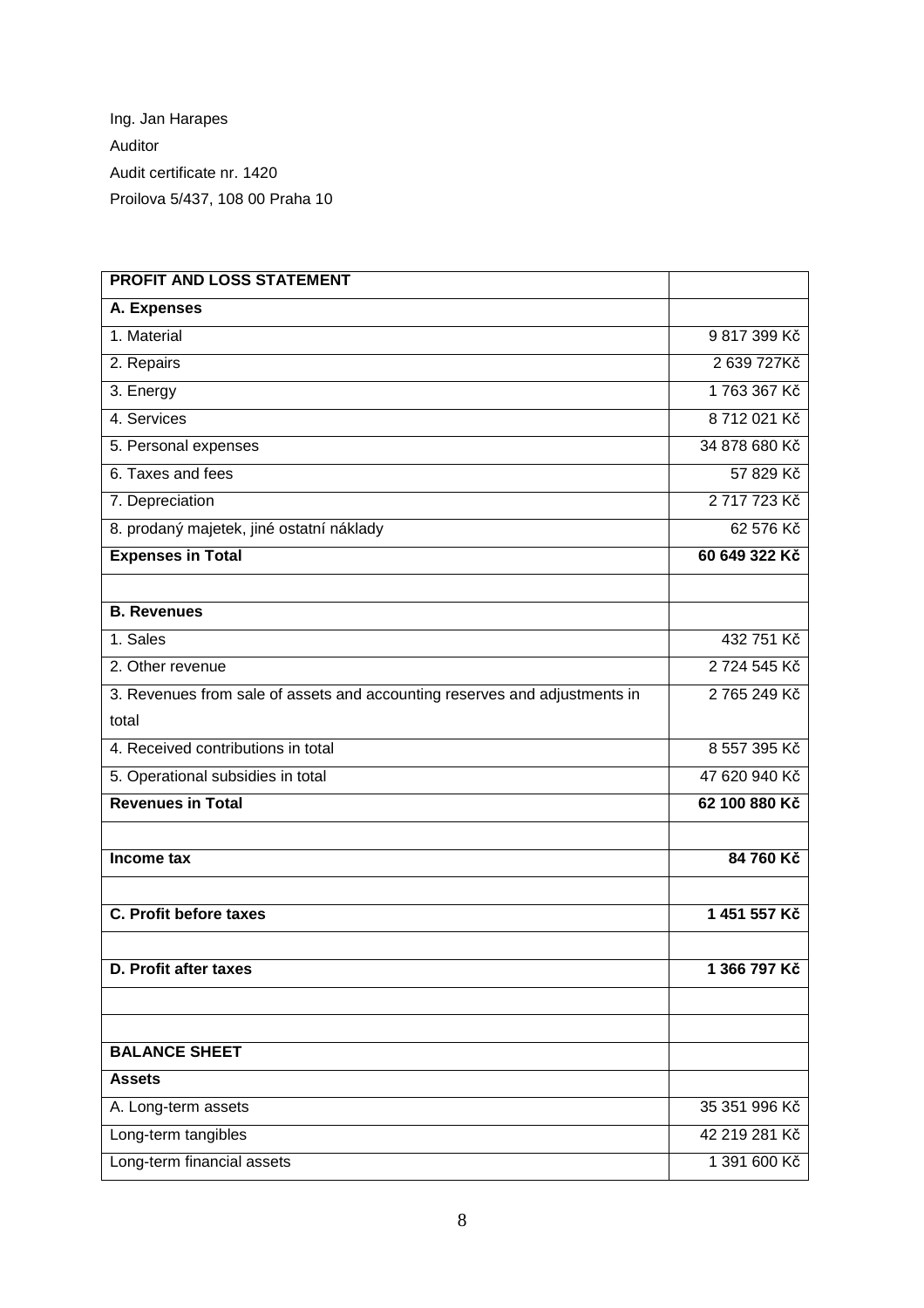Ing. Jan Harapes Auditor Audit certificate nr. 1420 Proilova 5/437, 108 00 Praha 10

| PROFIT AND LOSS STATEMENT                                                  |               |
|----------------------------------------------------------------------------|---------------|
| A. Expenses                                                                |               |
| 1. Material                                                                | 9817399Kč     |
| 2. Repairs                                                                 | 2 639 727Kč   |
| 3. Energy                                                                  | 1763 367 Kč   |
| 4. Services                                                                | 8712021 Kč    |
| 5. Personal expenses                                                       | 34 878 680 Kč |
| 6. Taxes and fees                                                          | 57 829 Kč     |
| 7. Depreciation                                                            | 2717723Kč     |
| 8. prodaný majetek, jiné ostatní náklady                                   | 62 576 Kč     |
| <b>Expenses in Total</b>                                                   | 60 649 322 Kč |
|                                                                            |               |
| <b>B. Revenues</b>                                                         |               |
| 1. Sales                                                                   | 432 751 Kč    |
| 2. Other revenue                                                           | 2724 545 Kč   |
| 3. Revenues from sale of assets and accounting reserves and adjustments in | 2765 249 Kč   |
| total                                                                      |               |
| 4. Received contributions in total                                         | 8 557 395 Kč  |
| 5. Operational subsidies in total                                          | 47 620 940 Kč |
| <b>Revenues in Total</b>                                                   | 62 100 880 Kč |
|                                                                            |               |
| Income tax                                                                 | 84 760 Kč     |
|                                                                            |               |
| <b>C. Profit before taxes</b>                                              | 1451 557 Kč   |
|                                                                            |               |
| D. Profit after taxes                                                      | 1 366 797 Kč  |
|                                                                            |               |
|                                                                            |               |
| <b>BALANCE SHEET</b>                                                       |               |
| <b>Assets</b>                                                              |               |
| A. Long-term assets                                                        | 35 351 996 Kč |
| Long-term tangibles                                                        | 42 219 281 Kč |
| Long-term financial assets                                                 | 1 391 600 Kč  |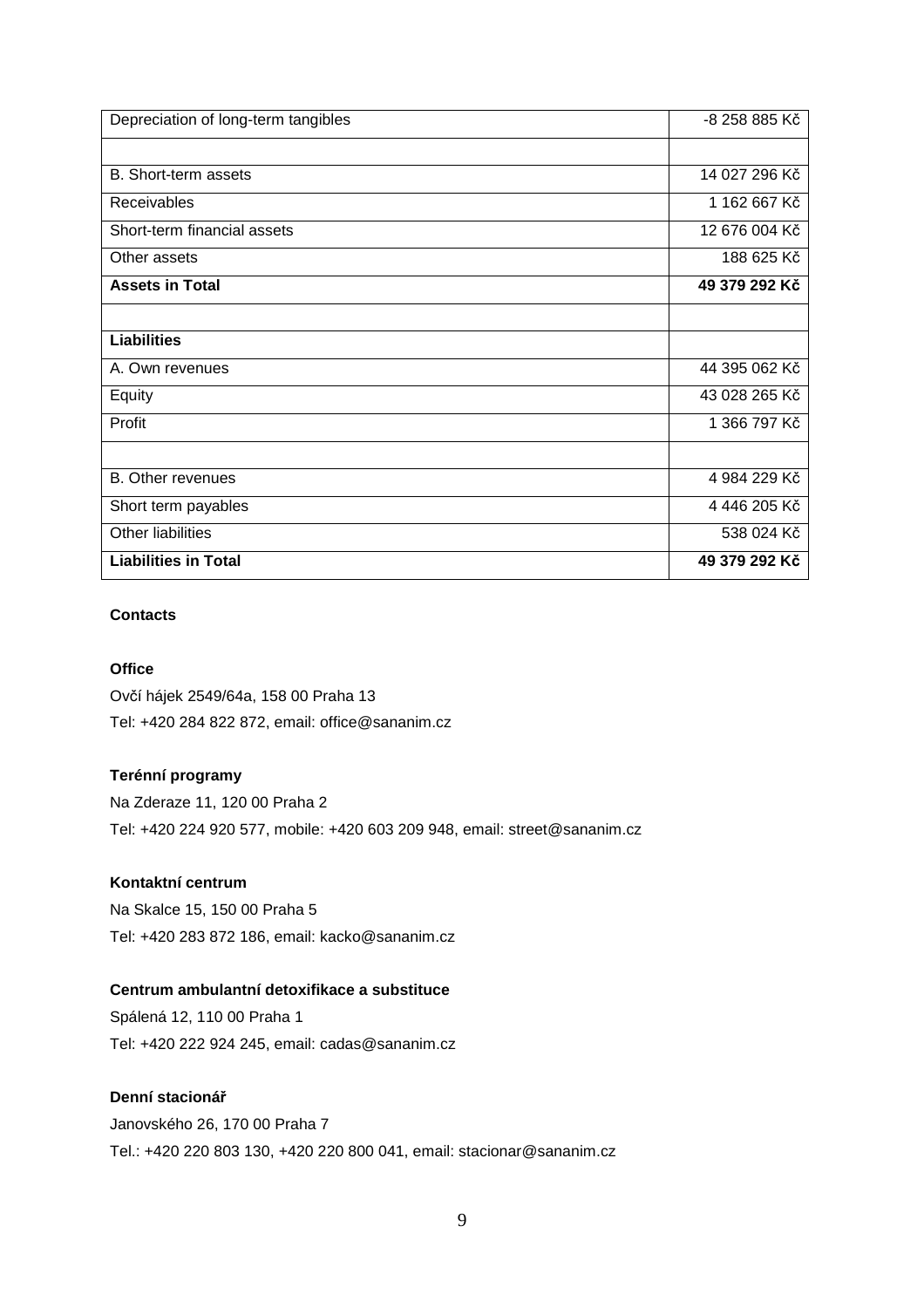| Depreciation of long-term tangibles | -8 258 885 Kč |
|-------------------------------------|---------------|
|                                     |               |
| <b>B.</b> Short-term assets         | 14 027 296 Kč |
| Receivables                         | 1 162 667 Kč  |
| Short-term financial assets         | 12 676 004 Kč |
| Other assets                        | 188 625 Kč    |
| <b>Assets in Total</b>              | 49 379 292 Kč |
|                                     |               |
| <b>Liabilities</b>                  |               |
| A. Own revenues                     | 44 395 062 Kč |
| Equity                              | 43 028 265 Kč |
| Profit                              | 1 366 797 Kč  |
|                                     |               |
| B. Other revenues                   | 4 984 229 Kč  |
| Short term payables                 | 4 446 205 Kč  |
| Other liabilities                   | 538 024 Kč    |
| <b>Liabilities in Total</b>         | 49 379 292 Kč |

#### **Contacts**

### **Office**

Ovčí hájek 2549/64a, 158 00 Praha 13 Tel: +420 284 822 872, email: office@sananim.cz

### **Terénní programy**

Na Zderaze 11, 120 00 Praha 2 Tel: +420 224 920 577, mobile: +420 603 209 948, email: street@sananim.cz

### **Kontaktní centrum**

Na Skalce 15, 150 00 Praha 5 Tel: +420 283 872 186, email: kacko@sananim.cz

### **Centrum ambulantní detoxifikace a substituce**

Spálená 12, 110 00 Praha 1 Tel: +420 222 924 245, email: cadas@sananim.cz

# **Denní stacionář**

Janovského 26, 170 00 Praha 7 Tel.: +420 220 803 130, +420 220 800 041, email: stacionar@sananim.cz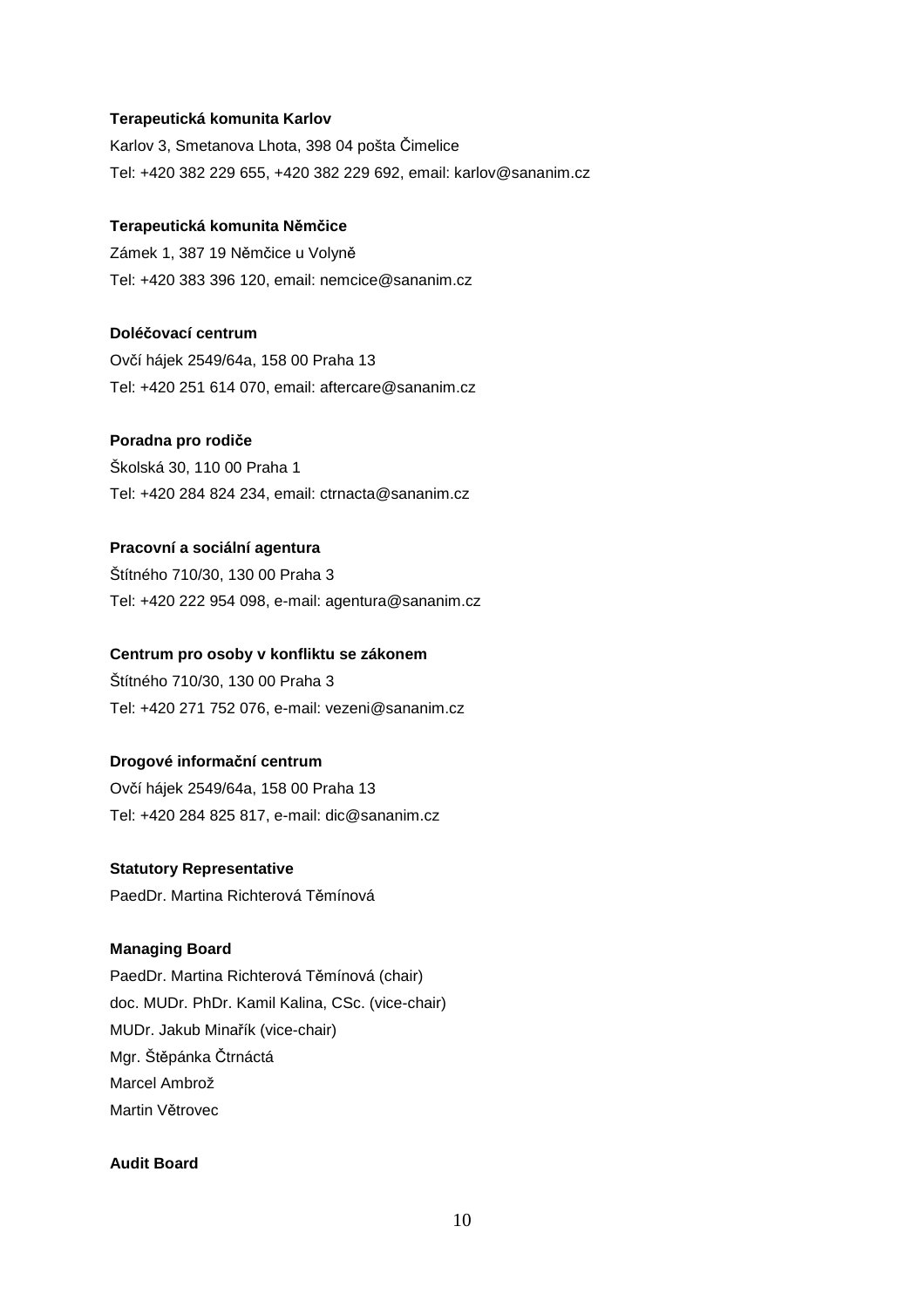#### **Terapeutická komunita Karlov**

Karlov 3, Smetanova Lhota, 398 04 pošta Čimelice Tel: +420 382 229 655, +420 382 229 692, email: karlov@sananim.cz

#### **Terapeutická komunita Němčice**

Zámek 1, 387 19 Němčice u Volyně Tel: +420 383 396 120, email: nemcice@sananim.cz

#### **Doléčovací centrum**

Ovčí hájek 2549/64a, 158 00 Praha 13 Tel: +420 251 614 070, email: aftercare@sananim.cz

#### **Poradna pro rodiče**

Školská 30, 110 00 Praha 1 Tel: +420 284 824 234, email: ctrnacta@sananim.cz

#### **Pracovní a sociální agentura**

Štítného 710/30, 130 00 Praha 3 Tel: +420 222 954 098, e-mail: agentura@sananim.cz

### **Centrum pro osoby v konfliktu se zákonem**

Štítného 710/30, 130 00 Praha 3 Tel: +420 271 752 076, e-mail: vezeni@sananim.cz

### **Drogové informační centrum**

Ovčí hájek 2549/64a, 158 00 Praha 13 Tel: +420 284 825 817, e-mail: dic@sananim.cz

### **Statutory Representative**

PaedDr. Martina Richterová Těmínová

#### **Managing Board**

PaedDr. Martina Richterová Těmínová (chair) doc. MUDr. PhDr. Kamil Kalina, CSc. (vice-chair) MUDr. Jakub Minařík (vice-chair) Mgr. Štěpánka Čtrnáctá Marcel Ambrož Martin Větrovec

### **Audit Board**